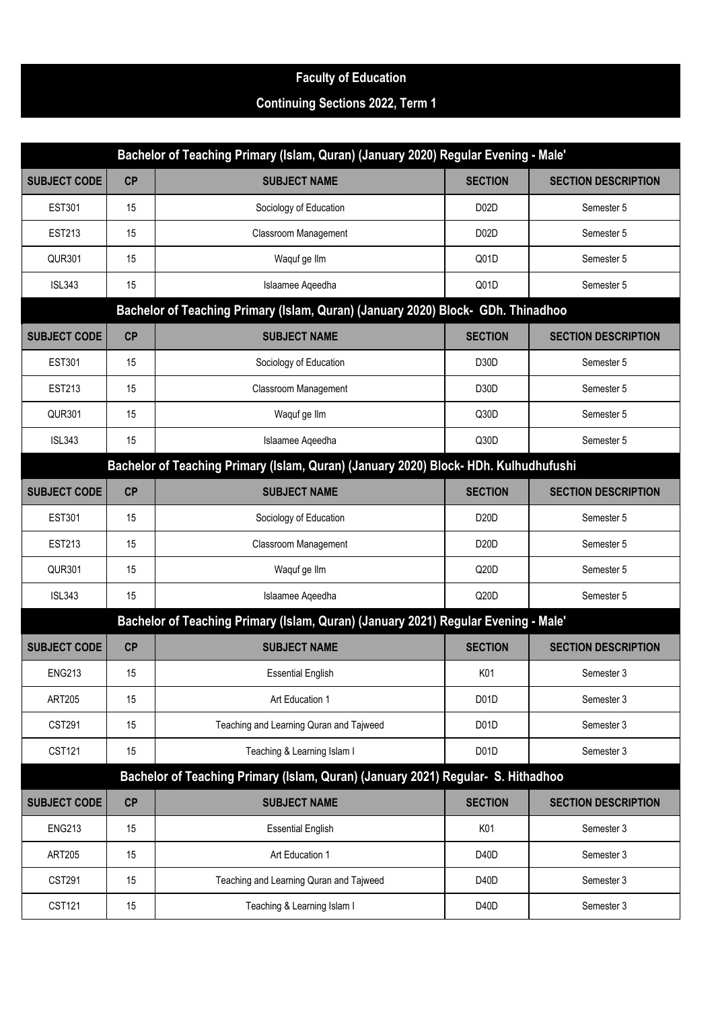## **Faculty of Education**

## **Continuing Sections 2022, Term 1**

| Bachelor of Teaching Primary (Islam, Quran) (January 2020) Regular Evening - Male'   |                                                                                  |                                                                                    |                   |                            |  |
|--------------------------------------------------------------------------------------|----------------------------------------------------------------------------------|------------------------------------------------------------------------------------|-------------------|----------------------------|--|
| <b>SUBJECT CODE</b>                                                                  | CP                                                                               | <b>SUBJECT NAME</b>                                                                | <b>SECTION</b>    | <b>SECTION DESCRIPTION</b> |  |
| <b>EST301</b>                                                                        | 15                                                                               | Sociology of Education                                                             | D02D              | Semester 5                 |  |
| <b>EST213</b>                                                                        | 15                                                                               | <b>Classroom Management</b>                                                        | D02D              | Semester 5                 |  |
| QUR301                                                                               | 15                                                                               | Waquf ge Ilm                                                                       | Q01D              | Semester 5                 |  |
| <b>ISL343</b>                                                                        | 15                                                                               | Islaamee Aqeedha                                                                   | Q01D              | Semester 5                 |  |
|                                                                                      | Bachelor of Teaching Primary (Islam, Quran) (January 2020) Block- GDh. Thinadhoo |                                                                                    |                   |                            |  |
| <b>SUBJECT CODE</b>                                                                  | CP                                                                               | <b>SUBJECT NAME</b>                                                                | <b>SECTION</b>    | <b>SECTION DESCRIPTION</b> |  |
| <b>EST301</b>                                                                        | 15                                                                               | Sociology of Education                                                             | D <sub>30</sub> D | Semester 5                 |  |
| <b>EST213</b>                                                                        | 15                                                                               | <b>Classroom Management</b>                                                        | D <sub>30</sub> D | Semester 5                 |  |
| <b>QUR301</b>                                                                        | 15                                                                               | Waquf ge Ilm                                                                       | Q30D              | Semester 5                 |  |
| <b>ISL343</b>                                                                        | 15                                                                               | Islaamee Aqeedha                                                                   | Q30D              | Semester 5                 |  |
| Bachelor of Teaching Primary (Islam, Quran) (January 2020) Block- HDh. Kulhudhufushi |                                                                                  |                                                                                    |                   |                            |  |
| <b>SUBJECT CODE</b>                                                                  | CP                                                                               | <b>SUBJECT NAME</b>                                                                | <b>SECTION</b>    | <b>SECTION DESCRIPTION</b> |  |
| <b>EST301</b>                                                                        | 15                                                                               | Sociology of Education                                                             | D <sub>20</sub> D | Semester 5                 |  |
| <b>EST213</b>                                                                        | 15                                                                               | <b>Classroom Management</b>                                                        | D20D              | Semester 5                 |  |
| <b>QUR301</b>                                                                        | 15                                                                               | Waquf ge Ilm                                                                       | Q20D              | Semester 5                 |  |
| <b>ISL343</b>                                                                        | 15                                                                               | Islaamee Aqeedha                                                                   | Q20D              | Semester 5                 |  |
|                                                                                      |                                                                                  | Bachelor of Teaching Primary (Islam, Quran) (January 2021) Regular Evening - Male' |                   |                            |  |
| <b>SUBJECT CODE</b>                                                                  | CP                                                                               | <b>SUBJECT NAME</b>                                                                | <b>SECTION</b>    | <b>SECTION DESCRIPTION</b> |  |
| <b>ENG213</b>                                                                        | 15                                                                               | <b>Essential English</b>                                                           | K01               | Semester 3                 |  |
| <b>ART205</b>                                                                        | 15                                                                               | Art Education 1                                                                    | D <sub>0</sub> 1D | Semester 3                 |  |
| <b>CST291</b>                                                                        | 15                                                                               | Teaching and Learning Quran and Tajweed                                            | D <sub>0</sub> 1D | Semester 3                 |  |
| <b>CST121</b>                                                                        | 15                                                                               | Teaching & Learning Islam I                                                        | D <sub>01</sub> D | Semester 3                 |  |
|                                                                                      | Bachelor of Teaching Primary (Islam, Quran) (January 2021) Regular- S. Hithadhoo |                                                                                    |                   |                            |  |
| <b>SUBJECT CODE</b>                                                                  | CP                                                                               | <b>SUBJECT NAME</b>                                                                | <b>SECTION</b>    | <b>SECTION DESCRIPTION</b> |  |
| <b>ENG213</b>                                                                        | 15                                                                               | <b>Essential English</b>                                                           | K01               | Semester 3                 |  |
| <b>ART205</b>                                                                        | 15                                                                               | Art Education 1                                                                    | D <sub>40</sub> D | Semester 3                 |  |
| <b>CST291</b>                                                                        | 15                                                                               | Teaching and Learning Quran and Tajweed                                            | D <sub>40</sub> D | Semester 3                 |  |
| <b>CST121</b>                                                                        | 15                                                                               | Teaching & Learning Islam I                                                        | D <sub>40</sub> D | Semester 3                 |  |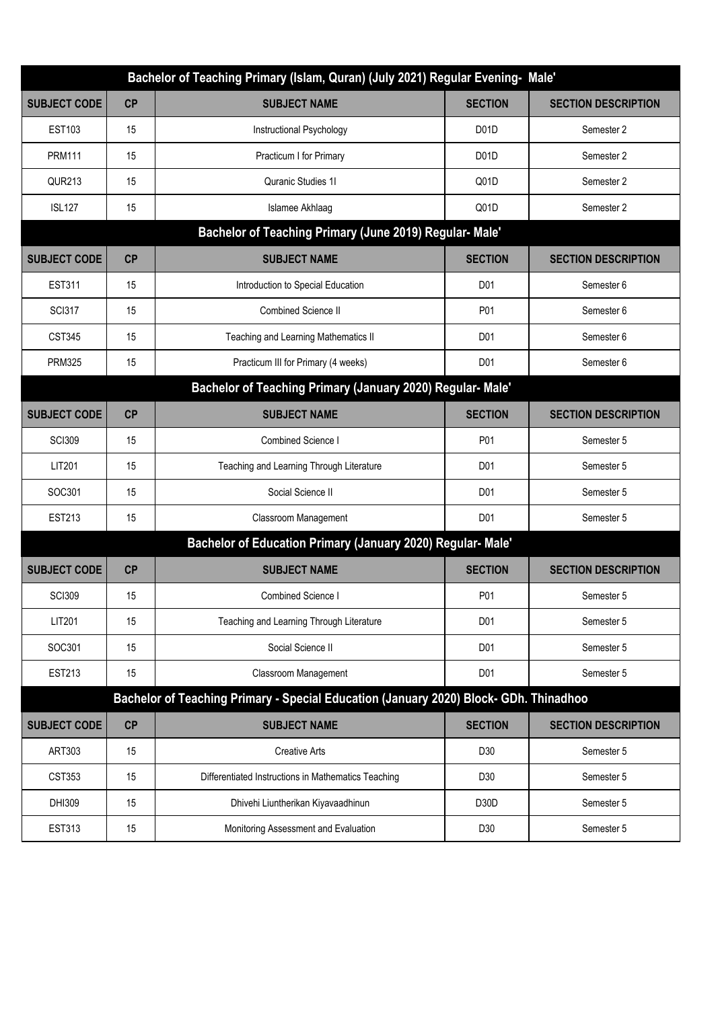| Bachelor of Teaching Primary (Islam, Quran) (July 2021) Regular Evening- Male'        |                                                         |                                                             |                   |                            |  |
|---------------------------------------------------------------------------------------|---------------------------------------------------------|-------------------------------------------------------------|-------------------|----------------------------|--|
| <b>SUBJECT CODE</b>                                                                   | CP                                                      | <b>SUBJECT NAME</b>                                         | <b>SECTION</b>    | <b>SECTION DESCRIPTION</b> |  |
| <b>EST103</b>                                                                         | 15                                                      | Instructional Psychology                                    | D <sub>0</sub> 1D | Semester 2                 |  |
| <b>PRM111</b>                                                                         | 15                                                      | Practicum I for Primary                                     | D <sub>0</sub> 1D | Semester 2                 |  |
| <b>QUR213</b>                                                                         | 15                                                      | Quranic Studies 11                                          | Q01D              | Semester 2                 |  |
| <b>ISL127</b>                                                                         | 15                                                      | Islamee Akhlaag                                             | Q01D              | Semester 2                 |  |
|                                                                                       | Bachelor of Teaching Primary (June 2019) Regular- Male' |                                                             |                   |                            |  |
| <b>SUBJECT CODE</b>                                                                   | CP                                                      | <b>SUBJECT NAME</b>                                         | <b>SECTION</b>    | <b>SECTION DESCRIPTION</b> |  |
| <b>EST311</b>                                                                         | 15                                                      | Introduction to Special Education                           | D01               | Semester 6                 |  |
| <b>SCI317</b>                                                                         | 15                                                      | <b>Combined Science II</b>                                  | P01               | Semester 6                 |  |
| <b>CST345</b>                                                                         | 15                                                      | Teaching and Learning Mathematics II                        | D <sub>01</sub>   | Semester 6                 |  |
| <b>PRM325</b>                                                                         | 15                                                      | Practicum III for Primary (4 weeks)                         | D <sub>01</sub>   | Semester 6                 |  |
| Bachelor of Teaching Primary (January 2020) Regular- Male'                            |                                                         |                                                             |                   |                            |  |
| <b>SUBJECT CODE</b>                                                                   | CP                                                      | <b>SUBJECT NAME</b>                                         | <b>SECTION</b>    | <b>SECTION DESCRIPTION</b> |  |
| <b>SCI309</b>                                                                         | 15                                                      | <b>Combined Science I</b>                                   | P01               | Semester 5                 |  |
| LIT201                                                                                | 15                                                      | Teaching and Learning Through Literature                    | D01               | Semester 5                 |  |
| SOC301                                                                                | 15                                                      | Social Science II                                           | D <sub>01</sub>   | Semester 5                 |  |
| <b>EST213</b>                                                                         | 15                                                      | Classroom Management                                        | D <sub>01</sub>   | Semester 5                 |  |
|                                                                                       |                                                         | Bachelor of Education Primary (January 2020) Regular- Male' |                   |                            |  |
| <b>SUBJECT CODE</b>                                                                   | CP                                                      | <b>SUBJECT NAME</b>                                         | <b>SECTION</b>    | <b>SECTION DESCRIPTION</b> |  |
| <b>SCI309</b>                                                                         | 15                                                      | Combined Science                                            | P01               | Semester 5                 |  |
| LIT201                                                                                | 15                                                      | Teaching and Learning Through Literature                    | D <sub>01</sub>   | Semester 5                 |  |
| SOC301                                                                                | 15                                                      | Social Science II                                           | D01               | Semester 5                 |  |
| <b>EST213</b>                                                                         | 15                                                      | Classroom Management                                        | D <sub>01</sub>   | Semester 5                 |  |
| Bachelor of Teaching Primary - Special Education (January 2020) Block- GDh. Thinadhoo |                                                         |                                                             |                   |                            |  |
| <b>SUBJECT CODE</b>                                                                   | CP                                                      | <b>SUBJECT NAME</b>                                         | <b>SECTION</b>    | <b>SECTION DESCRIPTION</b> |  |
| ART303                                                                                | 15                                                      | <b>Creative Arts</b>                                        | D30               | Semester 5                 |  |
| CST353                                                                                | 15                                                      | Differentiated Instructions in Mathematics Teaching         | D30               | Semester 5                 |  |
| DHI309                                                                                | 15                                                      | Dhivehi Liuntherikan Kiyavaadhinun                          | D <sub>30</sub> D | Semester 5                 |  |
| <b>EST313</b>                                                                         | 15                                                      | Monitoring Assessment and Evaluation                        | D30               | Semester 5                 |  |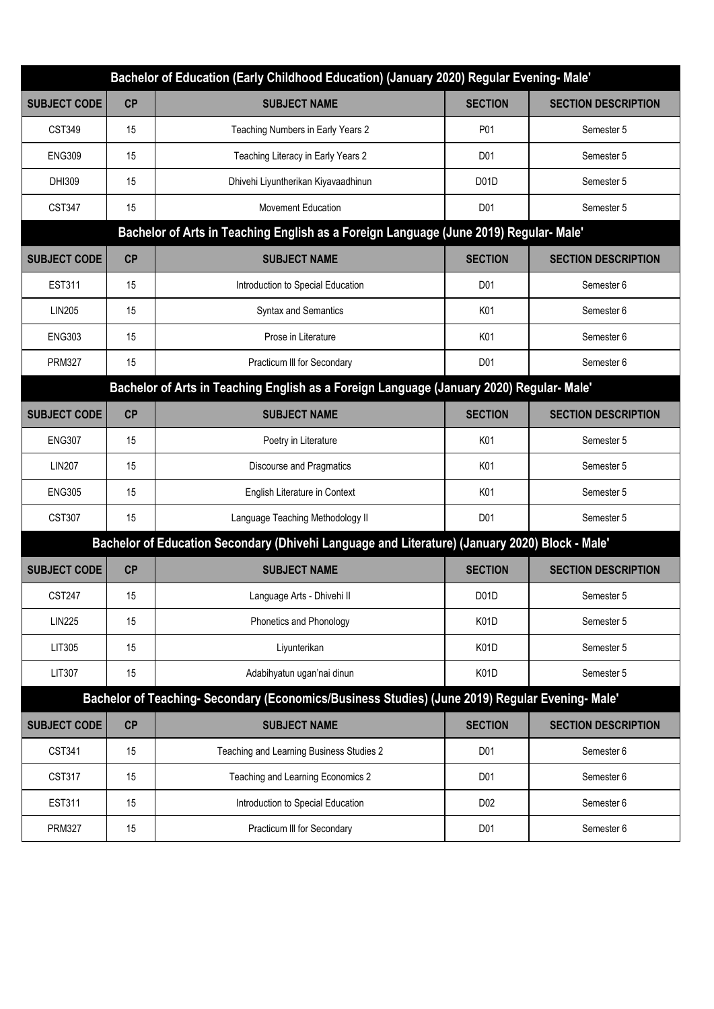| Bachelor of Education (Early Childhood Education) (January 2020) Regular Evening- Male'        |                                                                                               |                                          |                   |                            |  |
|------------------------------------------------------------------------------------------------|-----------------------------------------------------------------------------------------------|------------------------------------------|-------------------|----------------------------|--|
| <b>SUBJECT CODE</b>                                                                            | CP                                                                                            | <b>SUBJECT NAME</b>                      | <b>SECTION</b>    | <b>SECTION DESCRIPTION</b> |  |
| CST349                                                                                         | 15                                                                                            | Teaching Numbers in Early Years 2        | P01               | Semester 5                 |  |
| <b>ENG309</b>                                                                                  | 15                                                                                            | Teaching Literacy in Early Years 2       | D <sub>01</sub>   | Semester 5                 |  |
| DHI309                                                                                         | 15                                                                                            | Dhivehi Liyuntherikan Kiyavaadhinun      | D <sub>0</sub> 1D | Semester 5                 |  |
| <b>CST347</b>                                                                                  | 15                                                                                            | <b>Movement Education</b>                | D01               | Semester 5                 |  |
|                                                                                                | Bachelor of Arts in Teaching English as a Foreign Language (June 2019) Regular- Male'         |                                          |                   |                            |  |
| <b>SUBJECT CODE</b>                                                                            | CP                                                                                            | <b>SUBJECT NAME</b>                      | <b>SECTION</b>    | <b>SECTION DESCRIPTION</b> |  |
| <b>EST311</b>                                                                                  | 15                                                                                            | Introduction to Special Education        | D <sub>01</sub>   | Semester 6                 |  |
| <b>LIN205</b>                                                                                  | 15                                                                                            | <b>Syntax and Semantics</b>              | K01               | Semester 6                 |  |
| <b>ENG303</b>                                                                                  | 15                                                                                            | Prose in Literature                      | K01               | Semester 6                 |  |
| <b>PRM327</b>                                                                                  | 15                                                                                            | Practicum III for Secondary              | D <sub>01</sub>   | Semester 6                 |  |
| Bachelor of Arts in Teaching English as a Foreign Language (January 2020) Regular- Male'       |                                                                                               |                                          |                   |                            |  |
| <b>SUBJECT CODE</b>                                                                            | CP                                                                                            | <b>SUBJECT NAME</b>                      | <b>SECTION</b>    | <b>SECTION DESCRIPTION</b> |  |
| <b>ENG307</b>                                                                                  | 15                                                                                            | Poetry in Literature                     | K01               | Semester 5                 |  |
| <b>LIN207</b>                                                                                  | 15                                                                                            | Discourse and Pragmatics                 | K01               | Semester 5                 |  |
| <b>ENG305</b>                                                                                  | 15                                                                                            | English Literature in Context            | K01               | Semester 5                 |  |
| <b>CST307</b>                                                                                  | 15                                                                                            | Language Teaching Methodology II         | D <sub>01</sub>   | Semester 5                 |  |
| Bachelor of Education Secondary (Dhivehi Language and Literature) (January 2020) Block - Male' |                                                                                               |                                          |                   |                            |  |
| <b>SUBJECT CODE</b>                                                                            | CP                                                                                            | <b>SUBJECT NAME</b>                      | <b>SECTION</b>    | <b>SECTION DESCRIPTION</b> |  |
| <b>CST247</b>                                                                                  | 15                                                                                            | Language Arts - Dhivehi II               | D <sub>0</sub> 1D | Semester 5                 |  |
| <b>LIN225</b>                                                                                  | 15                                                                                            | Phonetics and Phonology                  | K01D              | Semester 5                 |  |
| LIT305                                                                                         | 15                                                                                            | Liyunterikan                             | K <sub>0</sub> 1D | Semester 5                 |  |
| LIT307                                                                                         | 15                                                                                            | Adabihyatun ugan'nai dinun               | K <sub>0</sub> 1D | Semester 5                 |  |
|                                                                                                | Bachelor of Teaching-Secondary (Economics/Business Studies) (June 2019) Regular Evening-Male' |                                          |                   |                            |  |
| <b>SUBJECT CODE</b>                                                                            | CP                                                                                            | <b>SUBJECT NAME</b>                      | <b>SECTION</b>    | <b>SECTION DESCRIPTION</b> |  |
| CST341                                                                                         | 15                                                                                            | Teaching and Learning Business Studies 2 | D01               | Semester 6                 |  |
| <b>CST317</b>                                                                                  | 15                                                                                            | Teaching and Learning Economics 2        | D <sub>01</sub>   | Semester 6                 |  |
| <b>EST311</b>                                                                                  | 15                                                                                            | Introduction to Special Education        | D <sub>02</sub>   | Semester 6                 |  |
| <b>PRM327</b>                                                                                  | 15                                                                                            | Practicum III for Secondary              | D01               | Semester 6                 |  |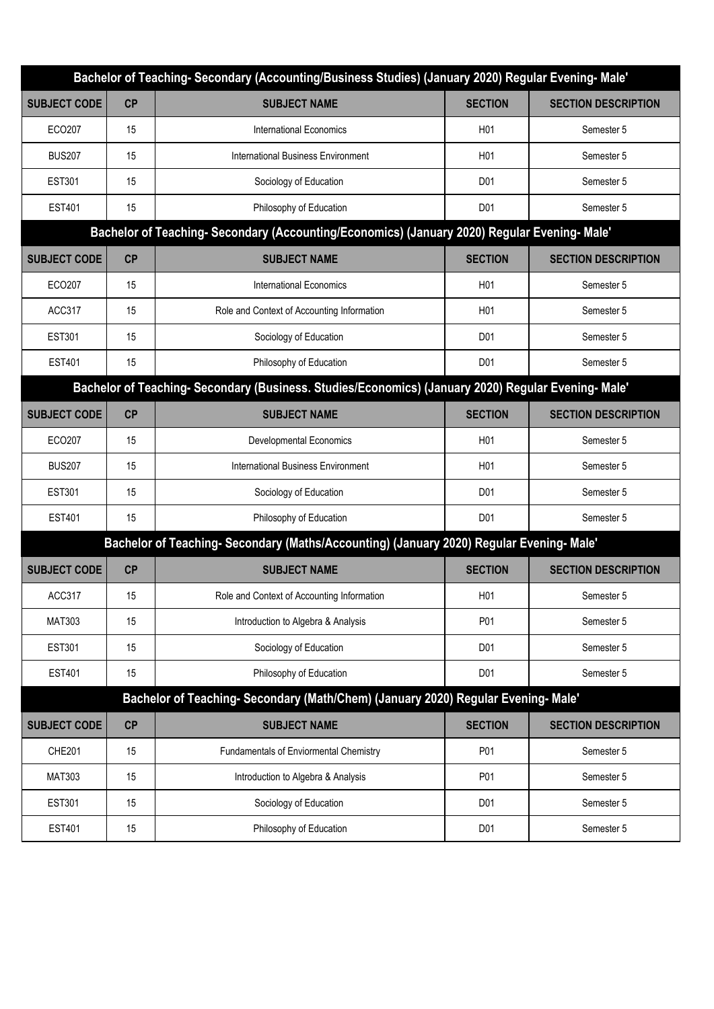| Bachelor of Teaching- Secondary (Accounting/Business Studies) (January 2020) Regular Evening- Male' |                                                                                                   |                                            |                  |                            |  |
|-----------------------------------------------------------------------------------------------------|---------------------------------------------------------------------------------------------------|--------------------------------------------|------------------|----------------------------|--|
| <b>SUBJECT CODE</b>                                                                                 | CP                                                                                                | <b>SUBJECT NAME</b>                        | <b>SECTION</b>   | <b>SECTION DESCRIPTION</b> |  |
| <b>ECO207</b>                                                                                       | 15                                                                                                | International Economics                    | H <sub>01</sub>  | Semester 5                 |  |
| <b>BUS207</b>                                                                                       | 15                                                                                                | International Business Environment         | H <sub>01</sub>  | Semester 5                 |  |
| <b>EST301</b>                                                                                       | 15                                                                                                | Sociology of Education                     | D <sub>01</sub>  | Semester 5                 |  |
| <b>EST401</b>                                                                                       | 15                                                                                                | Philosophy of Education                    | D <sub>01</sub>  | Semester 5                 |  |
| Bachelor of Teaching-Secondary (Accounting/Economics) (January 2020) Regular Evening-Male'          |                                                                                                   |                                            |                  |                            |  |
| <b>SUBJECT CODE</b>                                                                                 | CP                                                                                                | <b>SUBJECT NAME</b>                        | <b>SECTION</b>   | <b>SECTION DESCRIPTION</b> |  |
| ECO207                                                                                              | 15                                                                                                | International Economics                    | H <sub>0</sub> 1 | Semester 5                 |  |
| ACC317                                                                                              | 15                                                                                                | Role and Context of Accounting Information | H <sub>01</sub>  | Semester 5                 |  |
| <b>EST301</b>                                                                                       | 15                                                                                                | Sociology of Education                     | D01              | Semester 5                 |  |
| <b>EST401</b>                                                                                       | 15                                                                                                | Philosophy of Education                    | D <sub>01</sub>  | Semester 5                 |  |
|                                                                                                     | Bachelor of Teaching-Secondary (Business. Studies/Economics) (January 2020) Regular Evening-Male' |                                            |                  |                            |  |
| <b>SUBJECT CODE</b>                                                                                 | CP                                                                                                | <b>SUBJECT NAME</b>                        | <b>SECTION</b>   | <b>SECTION DESCRIPTION</b> |  |
| ECO207                                                                                              | 15                                                                                                | <b>Developmental Economics</b>             | H <sub>01</sub>  | Semester 5                 |  |
| <b>BUS207</b>                                                                                       | 15                                                                                                | <b>International Business Environment</b>  | H <sub>01</sub>  | Semester 5                 |  |
| <b>EST301</b>                                                                                       | 15                                                                                                | Sociology of Education                     | D <sub>01</sub>  | Semester 5                 |  |
| <b>EST401</b>                                                                                       | 15                                                                                                | Philosophy of Education                    | D <sub>01</sub>  | Semester 5                 |  |
|                                                                                                     | Bachelor of Teaching-Secondary (Maths/Accounting) (January 2020) Regular Evening-Male'            |                                            |                  |                            |  |
| <b>SUBJECT CODE</b>                                                                                 | CP                                                                                                | <b>SUBJECT NAME</b>                        | <b>SECTION</b>   | <b>SECTION DESCRIPTION</b> |  |
| ACC317                                                                                              | 15                                                                                                | Role and Context of Accounting Information | H <sub>0</sub> 1 | Semester 5                 |  |
| <b>MAT303</b>                                                                                       | 15                                                                                                | Introduction to Algebra & Analysis         | P01              | Semester 5                 |  |
| <b>EST301</b>                                                                                       | 15                                                                                                | Sociology of Education                     | D <sub>01</sub>  | Semester 5                 |  |
| <b>EST401</b>                                                                                       | 15                                                                                                | Philosophy of Education                    | D <sub>01</sub>  | Semester 5                 |  |
|                                                                                                     | Bachelor of Teaching- Secondary (Math/Chem) (January 2020) Regular Evening-Male'                  |                                            |                  |                            |  |
| <b>SUBJECT CODE</b>                                                                                 | CP                                                                                                | <b>SUBJECT NAME</b>                        | <b>SECTION</b>   | <b>SECTION DESCRIPTION</b> |  |
| <b>CHE201</b>                                                                                       | 15                                                                                                | Fundamentals of Enviormental Chemistry     | P01              | Semester 5                 |  |
| <b>MAT303</b>                                                                                       | 15                                                                                                | Introduction to Algebra & Analysis         | P01              | Semester 5                 |  |
| <b>EST301</b>                                                                                       | 15                                                                                                | Sociology of Education                     | D <sub>01</sub>  | Semester 5                 |  |
| <b>EST401</b>                                                                                       | 15                                                                                                | Philosophy of Education                    | D <sub>01</sub>  | Semester 5                 |  |